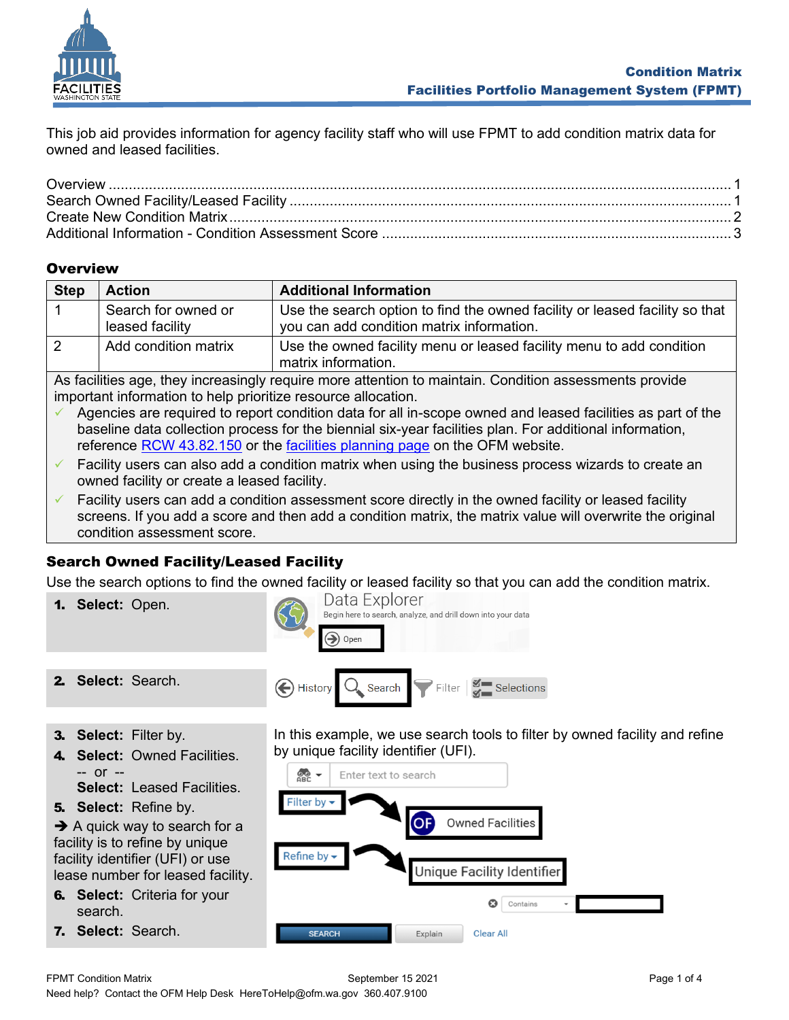

This job aid provides information for agency facility staff who will use FPMT to add condition matrix data for owned and leased facilities.

## <span id="page-0-0"></span>**Overview**

| <b>Step</b>                                                                                          | <b>Action</b>                          | <b>Additional Information</b>                                                                                            |  |  |
|------------------------------------------------------------------------------------------------------|----------------------------------------|--------------------------------------------------------------------------------------------------------------------------|--|--|
|                                                                                                      | Search for owned or<br>leased facility | Use the search option to find the owned facility or leased facility so that<br>you can add condition matrix information. |  |  |
|                                                                                                      | Add condition matrix                   | Use the owned facility menu or leased facility menu to add condition<br>matrix information.                              |  |  |
| As feelities ass, they increasingly require mere effection to maintain Condition assessments provide |                                        |                                                                                                                          |  |  |

As facilities age, they increasingly require more attention to maintain. Condition assessments provide important information to help prioritize resource allocation.

- $\checkmark$  Agencies are required to report condition data for all in-scope owned and leased facilities as part of the baseline data collection process for the biennial six-year facilities plan. For additional information, reference [RCW 43.82.150](https://app.leg.wa.gov/rcw/default.aspx?cite=43.82.150) or the [facilities planning page](https://ofm.wa.gov/facilities) on the OFM website.
- $\checkmark$  Facility users can also add a condition matrix when using the business process wizards to create an owned facility or create a leased facility.
- $\checkmark$  Facility users can add a condition assessment score directly in the owned facility or leased facility screens. If you add a score and then add a condition matrix, the matrix value will overwrite the original condition assessment score.

# <span id="page-0-1"></span>Search Owned Facility/Leased Facility

Use the search options to find the owned facility or leased facility so that you can add the condition matrix.

- Data Explorer 1. **Select:** Open. Begin here to search, analyze, and drill down into your data  $\rightarrow$  Open 2. **Select:** Search.  $\left(\bigoplus$  History Filter Selections Search
- 3. **Select:** Filter by.
- 4. **Select:** Owned Facilities. -- or --
	- **Select:** Leased Facilities.
- 5. **Select:** Refine by.

 $\rightarrow$  A quick way to search for a facility is to refine by unique facility identifier (UFI) or use lease number for leased facility.

6. **Select:** Criteria for your search.

7. **Select:** Search.

In this example, we use search tools to filter by owned facility and refine by unique facility identifier (UFI).

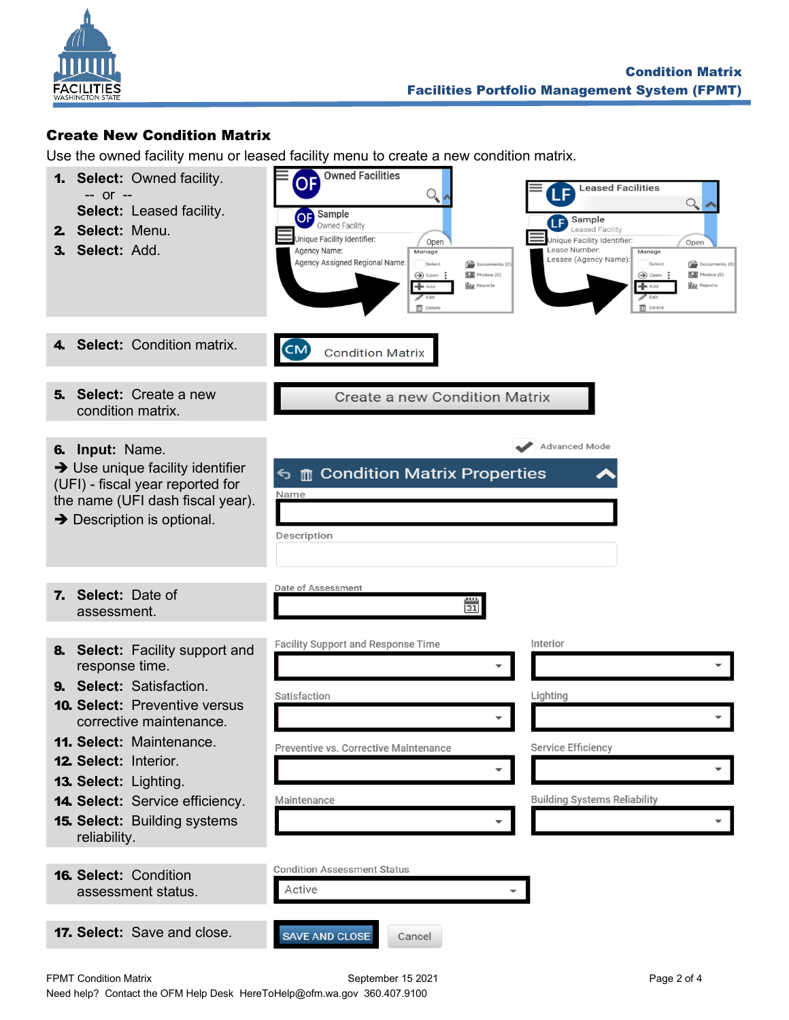

### <span id="page-1-0"></span>Create New Condition Matrix

Use the owned facility menu or leased facility menu to create a new condition matrix.

| <b>1. Select: Owned facility.</b><br>-- or --<br>Select: Leased facility.<br>2. Select: Menu.<br>3. Select: Add.                                                                                                                                                                                                                | <b>Owned Facilities</b><br>OF)<br><b>Leased Facilities</b><br>$\mathrm{Q}_{\!\scriptscriptstyle (\!\varsigma\!)}$<br>$Q_{\bullet}$<br>OF Sample<br><b>Sample</b><br>Owned Facility<br>Leased Facility<br>Unique Facility Identifier:<br>Unique Facility Identifier:<br>Open<br>Open<br>Agency Name:<br>Lease Number:<br>Manage<br>Manage<br>Lessee (Agency Name):<br>Agency Assigned Regional Name:<br>Select<br>$\left[\overline{\phantom{a}}\right]$ Documents (0)<br>Select<br>$\left[\overline{\phantom{a}}\right]$ Documents (0)<br>Photos (0)<br>Photos (0)<br>$\bigcirc$ Open:<br>→ Open<br><b>IN</b> Reports<br><b>In</b> Reports<br>$+$ Add<br>$+$ Add<br>$\mathscr{P}$ Edit<br>$\mathscr{P}$ Edit<br>Delete<br>$\overline{\mathbf{m}}$ Delete |
|---------------------------------------------------------------------------------------------------------------------------------------------------------------------------------------------------------------------------------------------------------------------------------------------------------------------------------|---------------------------------------------------------------------------------------------------------------------------------------------------------------------------------------------------------------------------------------------------------------------------------------------------------------------------------------------------------------------------------------------------------------------------------------------------------------------------------------------------------------------------------------------------------------------------------------------------------------------------------------------------------------------------------------------------------------------------------------------------------|
| <b>Select: Condition matrix.</b><br>4.                                                                                                                                                                                                                                                                                          | $\overline{\mathsf{CM}}$<br><b>Condition Matrix</b>                                                                                                                                                                                                                                                                                                                                                                                                                                                                                                                                                                                                                                                                                                     |
| <b>Select:</b> Create a new<br>5.<br>condition matrix.                                                                                                                                                                                                                                                                          | <b>Create a new Condition Matrix</b>                                                                                                                                                                                                                                                                                                                                                                                                                                                                                                                                                                                                                                                                                                                    |
| 6. Input: Name.<br>$\rightarrow$ Use unique facility identifier<br>(UFI) - fiscal year reported for<br>the name (UFI dash fiscal year).<br>$\rightarrow$ Description is optional.                                                                                                                                               | Advanced Mode<br><b>う mm Condition Matrix Properties</b><br>Name<br>Description                                                                                                                                                                                                                                                                                                                                                                                                                                                                                                                                                                                                                                                                         |
| 7. Select: Date of<br>assessment.                                                                                                                                                                                                                                                                                               | Date of Assessment<br>31                                                                                                                                                                                                                                                                                                                                                                                                                                                                                                                                                                                                                                                                                                                                |
| 8. Select: Facility support and<br>response time.<br>9. Select: Satisfaction.<br><b>10. Select: Preventive versus</b><br>corrective maintenance.<br>11. Select: Maintenance.<br><b>12. Select: Interior.</b><br>13. Select: Lighting.<br>14. Select: Service efficiency.<br><b>15. Select: Building systems</b><br>reliability. | Facility Support and Response Time<br>Interior<br>Satisfaction<br>Lighting<br>Service Efficiency<br>Preventive vs. Corrective Maintenance<br><b>Building Systems Reliability</b><br>Maintenance<br>$\overline{\phantom{a}}$<br>▼                                                                                                                                                                                                                                                                                                                                                                                                                                                                                                                        |
| <b>16. Select: Condition</b><br>assessment status.                                                                                                                                                                                                                                                                              | <b>Condition Assessment Status</b><br>Active                                                                                                                                                                                                                                                                                                                                                                                                                                                                                                                                                                                                                                                                                                            |
| 17. Select: Save and close.                                                                                                                                                                                                                                                                                                     | <b>SAVE AND CLOSE</b><br>Cancel                                                                                                                                                                                                                                                                                                                                                                                                                                                                                                                                                                                                                                                                                                                         |

FPMT Condition Matrix **Example 2 of 4** September 15 2021 **Page 2 of 4** Page 2 of 4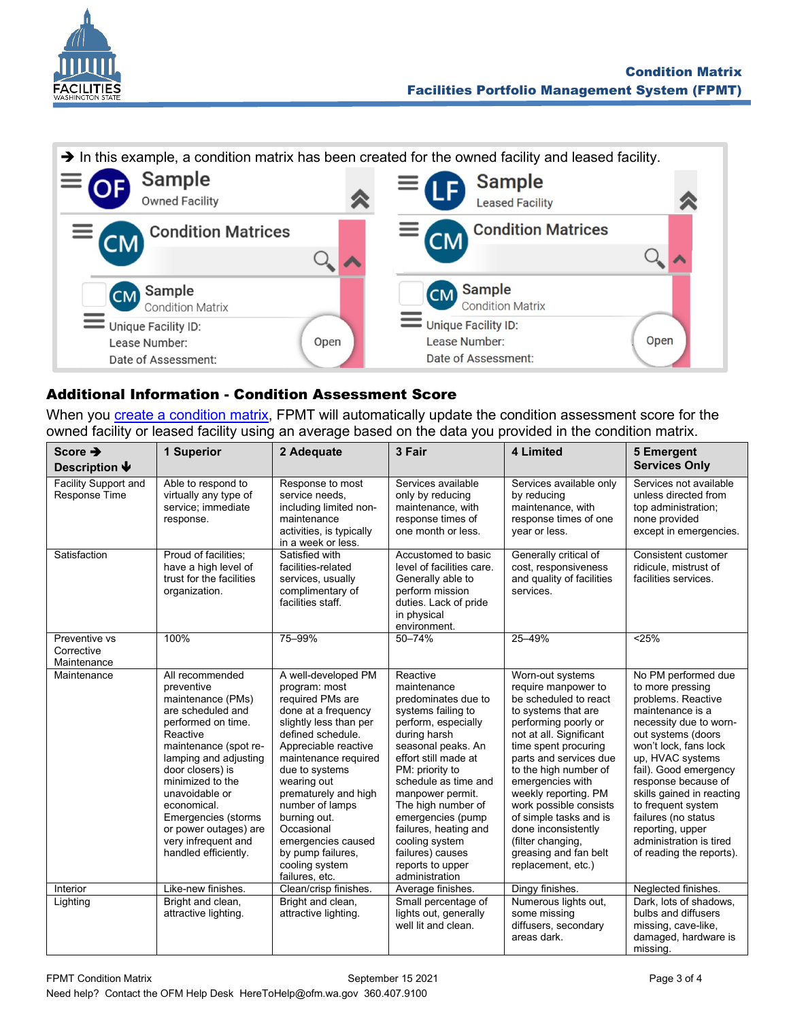



#### <span id="page-2-0"></span>Additional Information - Condition Assessment Score

When you create a [condition matrix,](#page-1-0) FPMT will automatically update the condition assessment score for the owned facility or leased facility using an average based on the data you provided in the condition matrix.

| Score $\rightarrow$<br>Description $\blacklozenge$ | 1 Superior                                                                                                                                                                                                                                                                                                                          | 2 Adequate                                                                                                                                                                                                                                                                                                                                                              | 3 Fair                                                                                                                                                                                                                                                                                                                                                                   | 4 Limited                                                                                                                                                                                                                                                                                                                                                                                                        | 5 Emergent<br><b>Services Only</b>                                                                                                                                                                                                                                                                                                                                                  |
|----------------------------------------------------|-------------------------------------------------------------------------------------------------------------------------------------------------------------------------------------------------------------------------------------------------------------------------------------------------------------------------------------|-------------------------------------------------------------------------------------------------------------------------------------------------------------------------------------------------------------------------------------------------------------------------------------------------------------------------------------------------------------------------|--------------------------------------------------------------------------------------------------------------------------------------------------------------------------------------------------------------------------------------------------------------------------------------------------------------------------------------------------------------------------|------------------------------------------------------------------------------------------------------------------------------------------------------------------------------------------------------------------------------------------------------------------------------------------------------------------------------------------------------------------------------------------------------------------|-------------------------------------------------------------------------------------------------------------------------------------------------------------------------------------------------------------------------------------------------------------------------------------------------------------------------------------------------------------------------------------|
| <b>Facility Support and</b><br>Response Time       | Able to respond to<br>virtually any type of<br>service; immediate<br>response.                                                                                                                                                                                                                                                      | Response to most<br>service needs.<br>including limited non-<br>maintenance<br>activities, is typically<br>in a week or less.                                                                                                                                                                                                                                           | Services available<br>only by reducing<br>maintenance, with<br>response times of<br>one month or less.                                                                                                                                                                                                                                                                   | Services available only<br>by reducing<br>maintenance, with<br>response times of one<br>year or less.                                                                                                                                                                                                                                                                                                            | Services not available<br>unless directed from<br>top administration;<br>none provided<br>except in emergencies.                                                                                                                                                                                                                                                                    |
| Satisfaction                                       | Proud of facilities;<br>have a high level of<br>trust for the facilities<br>organization.                                                                                                                                                                                                                                           | Satisfied with<br>facilities-related<br>services, usually<br>complimentary of<br>facilities staff.                                                                                                                                                                                                                                                                      | Accustomed to basic<br>level of facilities care.<br>Generally able to<br>perform mission<br>duties. Lack of pride<br>in physical<br>environment.                                                                                                                                                                                                                         | Generally critical of<br>cost, responsiveness<br>and quality of facilities<br>services.                                                                                                                                                                                                                                                                                                                          | Consistent customer<br>ridicule, mistrust of<br>facilities services.                                                                                                                                                                                                                                                                                                                |
| Preventive vs<br>Corrective<br>Maintenance         | 100%                                                                                                                                                                                                                                                                                                                                | 75-99%                                                                                                                                                                                                                                                                                                                                                                  | $50 - 74%$                                                                                                                                                                                                                                                                                                                                                               | 25-49%                                                                                                                                                                                                                                                                                                                                                                                                           | < 25%                                                                                                                                                                                                                                                                                                                                                                               |
| Maintenance                                        | All recommended<br>preventive<br>maintenance (PMs)<br>are scheduled and<br>performed on time.<br>Reactive<br>maintenance (spot re-<br>lamping and adjusting<br>door closers) is<br>minimized to the<br>unavoidable or<br>economical.<br>Emergencies (storms<br>or power outages) are<br>very infrequent and<br>handled efficiently. | A well-developed PM<br>program: most<br>required PMs are<br>done at a frequency<br>slightly less than per<br>defined schedule.<br>Appreciable reactive<br>maintenance required<br>due to systems<br>wearing out<br>prematurely and high<br>number of lamps<br>burning out.<br>Occasional<br>emergencies caused<br>by pump failures,<br>cooling system<br>failures, etc. | Reactive<br>maintenance<br>predominates due to<br>systems failing to<br>perform, especially<br>during harsh<br>seasonal peaks. An<br>effort still made at<br>PM: priority to<br>schedule as time and<br>manpower permit.<br>The high number of<br>emergencies (pump<br>failures, heating and<br>cooling system<br>failures) causes<br>reports to upper<br>administration | Worn-out systems<br>require manpower to<br>be scheduled to react<br>to systems that are<br>performing poorly or<br>not at all. Significant<br>time spent procuring<br>parts and services due<br>to the high number of<br>emergencies with<br>weekly reporting. PM<br>work possible consists<br>of simple tasks and is<br>done inconsistently<br>(filter changing,<br>greasing and fan belt<br>replacement, etc.) | No PM performed due<br>to more pressing<br>problems. Reactive<br>maintenance is a<br>necessity due to worn-<br>out systems (doors<br>won't lock, fans lock<br>up, HVAC systems<br>fail). Good emergency<br>response because of<br>skills gained in reacting<br>to frequent system<br>failures (no status<br>reporting, upper<br>administration is tired<br>of reading the reports). |
| Interior                                           | Like-new finishes.                                                                                                                                                                                                                                                                                                                  | Clean/crisp finishes.                                                                                                                                                                                                                                                                                                                                                   | Average finishes.                                                                                                                                                                                                                                                                                                                                                        | Dingy finishes.                                                                                                                                                                                                                                                                                                                                                                                                  | Neglected finishes.                                                                                                                                                                                                                                                                                                                                                                 |
| Lighting                                           | Bright and clean,<br>attractive lighting.                                                                                                                                                                                                                                                                                           | Bright and clean,<br>attractive lighting.                                                                                                                                                                                                                                                                                                                               | Small percentage of<br>lights out, generally<br>well lit and clean.                                                                                                                                                                                                                                                                                                      | Numerous lights out,<br>some missing<br>diffusers, secondary<br>areas dark.                                                                                                                                                                                                                                                                                                                                      | Dark, lots of shadows,<br>bulbs and diffusers<br>missing, cave-like,<br>damaged, hardware is<br>missing.                                                                                                                                                                                                                                                                            |